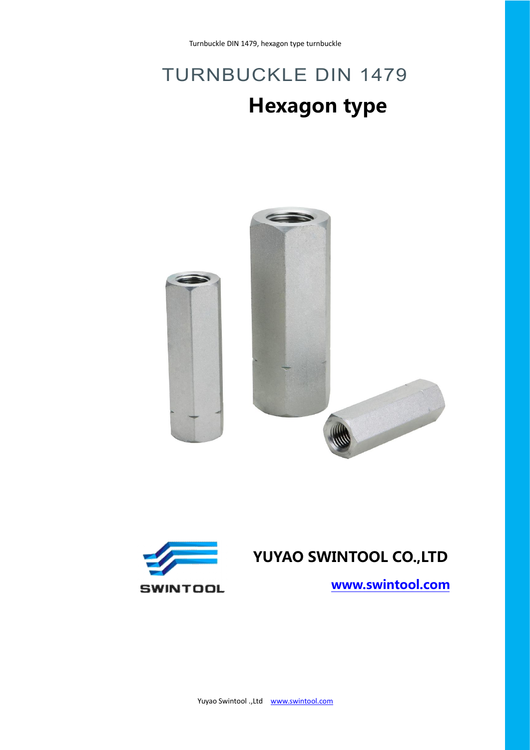## TURNBUCKLE DIN 1479 **Hexagon type**





**[www.swintool.com](http://www.swintool.com)**

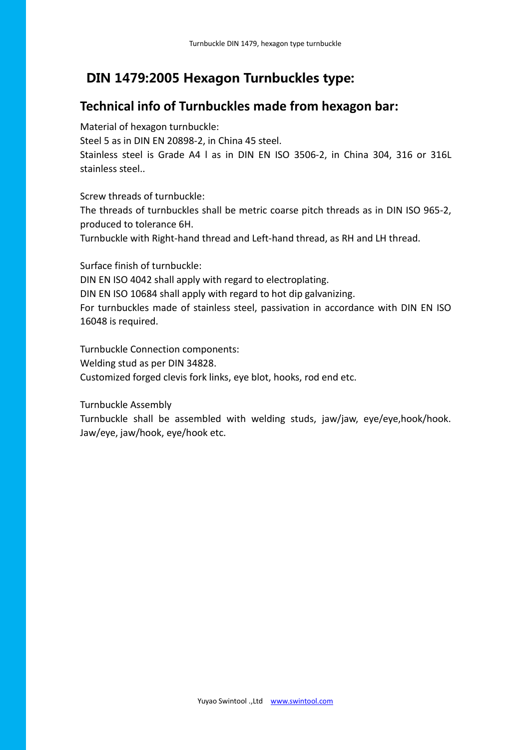## **DIN 1479:2005 Hexagon Turnbuckles type:**

## **Technical info of Turnbuckles made from hexagon bar:**

Material of hexagon turnbuckle:

Steel 5 as in DIN EN 20898-2, in China 45 steel.

Stainless steel is Grade A4 l as in DIN EN ISO 3506-2, in China 304, 316 or 316L stainless steel..<br>Screw threads of turnbuckle:

The threads of turnbuckles shall be metric coarse pitch threads as in DIN ISO 965-2, produced to tolerance 6H.

Turnbuckle with Right-hand thread and Left-hand thread, as RH and LH thread.

Surface finish of turnbuckle:

DIN EN ISO 4042 shall apply with regard to electroplating.

DIN EN ISO 10684 shall apply with regard to hot dip galvanizing.

For turnbuckles made of stainless steel, passivation in accordance with DIN EN ISO 16048 is required.

Turnbuckle Connection components: Welding stud as per DIN 34828. Customized forged clevis fork links, eye blot, hooks, rod end etc.

Turnbuckle Assembly

Turnbuckle shall be assembled with welding studs, jaw/jaw, eye/eye,hook/hook. Jaw/eye, jaw/hook, eye/hook etc.